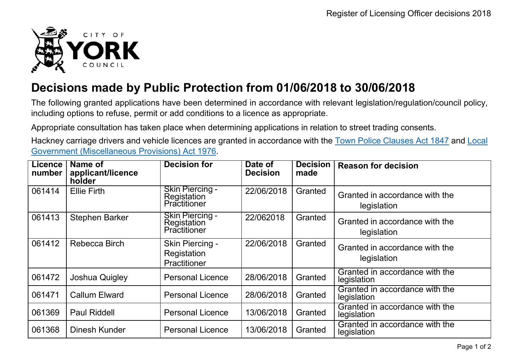

## **Decisions made by Public Protection from 01/06/2018 to 30/06/2018**

The following granted applications have been determined in accordance with relevant legislation/regulation/council policy, including options to refuse, permit or add conditions to a licence as appropriate.

Appropriate consultation has taken place when determining applications in relation to street trading consents.

Hackney carriage drivers and vehicle licences are granted in accordance with the Town Police [Clauses](http://www.legislation.gov.uk/ukpga/Vict/10-11/89) Act 1847 and [Local](http://www.legislation.gov.uk/ukpga/1976/57) [Government \(Miscellaneous Provisions\) Act 1976.](http://www.legislation.gov.uk/ukpga/1976/57)

| <b>Licence</b><br>number | Name of<br>applicant/licence<br>holder | <b>Decision for</b>                                   | Date of<br><b>Decision</b> | <b>Decision</b><br>made | <b>Reason for decision</b>                    |
|--------------------------|----------------------------------------|-------------------------------------------------------|----------------------------|-------------------------|-----------------------------------------------|
| 061414                   | <b>Ellie Firth</b>                     | <b>Skin Piercing -</b><br>Registation<br>Practitioner | 22/06/2018                 | Granted                 | Granted in accordance with the<br>legislation |
| 061413                   | <b>Stephen Barker</b>                  | <b>Skin Piercing -</b><br>Registation<br>Practitioner | 22/062018                  | Granted                 | Granted in accordance with the<br>legislation |
| 061412                   | Rebecca Birch                          | Skin Piercing -<br>Registation<br>Practitioner        | 22/06/2018                 | Granted                 | Granted in accordance with the<br>legislation |
| 061472                   | Joshua Quigley                         | <b>Personal Licence</b>                               | 28/06/2018                 | Granted                 | Granted in accordance with the<br>legislation |
| 061471                   | <b>Callum Elward</b>                   | <b>Personal Licence</b>                               | 28/06/2018                 | Granted                 | Granted in accordance with the<br>legislation |
| 061369                   | <b>Paul Riddell</b>                    | <b>Personal Licence</b>                               | 13/06/2018                 | Granted                 | Granted in accordance with the<br>legislation |
| 061368                   | Dinesh Kunder                          | <b>Personal Licence</b>                               | 13/06/2018                 | Granted                 | Granted in accordance with the<br>legislation |